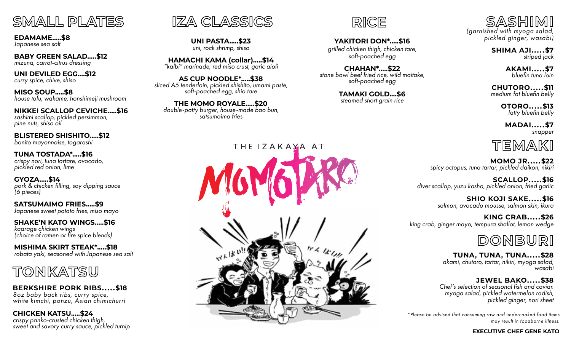

**EDAMAME.....\$8** *Japanese sea salt*

**BABY GREEN SALAD.....\$12** *mizuna, carrot-citrus dressing*

**UNI DEVILED EGG....\$12** *curry spice, chive, shiso*

**MISO SOUP.....\$8** *house tofu, wakame, honshimeji mushroom*

**NIKKEI SCALLOP CEVICHE.....\$16** *sashimi scallop, pickled persimmon, pine nuts, shiso oil*

**BLISTERED SHISHITO.....\$12** *bonito mayonnaise, togarashi*

**TUNA TOSTADA\*.....\$16** *crispy nori, tuna tartare, avocado, pickled red onion, lime*

**GYOZA.....\$14** *pork & chicken filling, soy dipping sauce (6 pieces)*

**SATSUMAIMO FRIES.....\$9** *Japanese sweet potato fries, miso mayo*

**SHAKE'N KATO WINGS.....\$16** *kaarage chicken wings (choice of ramen or fire spice blends)*

**MISHIMA SKIRT STEAK\*.....\$18** *robata yaki, seasoned with Japanese sea salt*



**BERKSHIRE PORK RIBS.....\$18** *8oz baby back ribs, curry spice, white kimchi, ponzu, Asian chimichurri*

**CHICKEN KATSU.....\$24** *crispy panko-crusted chicken thigh, sweet and savory curry sauce, pickled turnip*



**UNI PASTA.....\$23** *uni, rock shrimp, shiso*

**HAMACHI KAMA (collar).....\$14** *"kalbi" marinade, red miso crust, garic aioli* 

**A5 CUP NOODLE\*.....\$38** *sliced A5 tenderloin, pickled shishito, umami paste, soft-poached egg, shio tare*

**THE MOMO ROYALE.....\$20** *double-patty burger, house-made bao bun, satsumaimo fries*

## THE IZAKAYA AT





**YAKITORI DON\*.....\$16** *grilled chicken thigh, chicken tare, soft-poached egg*

**CHAHAN\*.....\$22** *stone bowl beef fried rice, wild maitake, soft-poached egg*

> **TAMAKI GOLD....\$6** *steamed short grain rice*

*(garnished with myoga salad, pickled ginger, wasabi)*

> **SHIMA AJI.....\$7** *striped jack*

> > **AKAMI.....\$7** *bluefin tuna loin*

**CHUTORO.....\$11** *medium fat bluefin belly*

> **OTORO.....\$13** *fatty bluefin belly*

**MADAI.....\$7** *snapper*

**TEMAKI MOMO JR.....\$22**

*spicy octopus, tuna tartar, pickled daikon, nikiri*

**SCALLOP.....\$16** *diver scallop, yuzu kosho, pickled onion, fried garlic*

> **SHIO KOJI SAKE.....\$16** *salmon, avocado mousse, salmon skin, ikura*

**KING CRAB.....\$26** *king crab, ginger mayo, tempura shallot, lemon wedge*

**DONBURI**

**TUNA, TUNA, TUNA.....\$28** *akami, chutoro, tartar, nikiri, myoga salad, wasabi*

**JEWEL BAKO.....\$38** *Chef's selection of seasonal fish and caviar. myoga salad, pickled watermelon radish,* 

*pickled ginger, nori sheet*

*\*Please be advised that consuming raw and undercooked food items may result in foodborne illness.*

#### **EXECUTIVE CHEF GENE KATO**